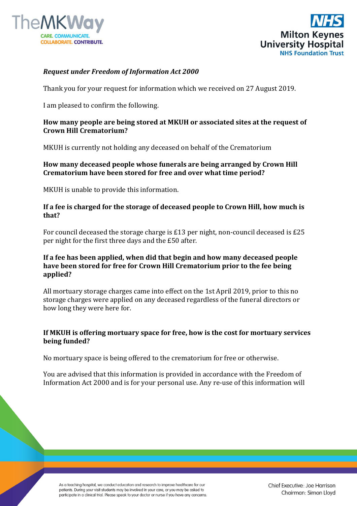



## *Request under Freedom of Information Act 2000*

Thank you for your request for information which we received on 27 August 2019.

I am pleased to confirm the following.

#### **How many people are being stored at MKUH or associated sites at the request of Crown Hill Crematorium?**

MKUH is currently not holding any deceased on behalf of the Crematorium

**How many deceased people whose funerals are being arranged by Crown Hill Crematorium have been stored for free and over what time period?**

MKUH is unable to provide this information.

#### **If a fee is charged for the storage of deceased people to Crown Hill, how much is that?**

For council deceased the storage charge is £13 per night, non-council deceased is £25 per night for the first three days and the £50 after.

### **If a fee has been applied, when did that begin and how many deceased people have been stored for free for Crown Hill Crematorium prior to the fee being applied?**

All mortuary storage charges came into effect on the 1st April 2019, prior to this no storage charges were applied on any deceased regardless of the funeral directors or how long they were here for.

# **If MKUH is offering mortuary space for free, how is the cost for mortuary services being funded?**

No mortuary space is being offered to the crematorium for free or otherwise.

You are advised that this information is provided in accordance with the Freedom of Information Act 2000 and is for your personal use. Any re-use of this information will

As a teaching hospital, we conduct education and research to improve healthcare for our patients. During your visit students may be involved in your care, or you may be asked to participate in a clinical trial. Please speak to your doctor or nurse if you have any concerns.